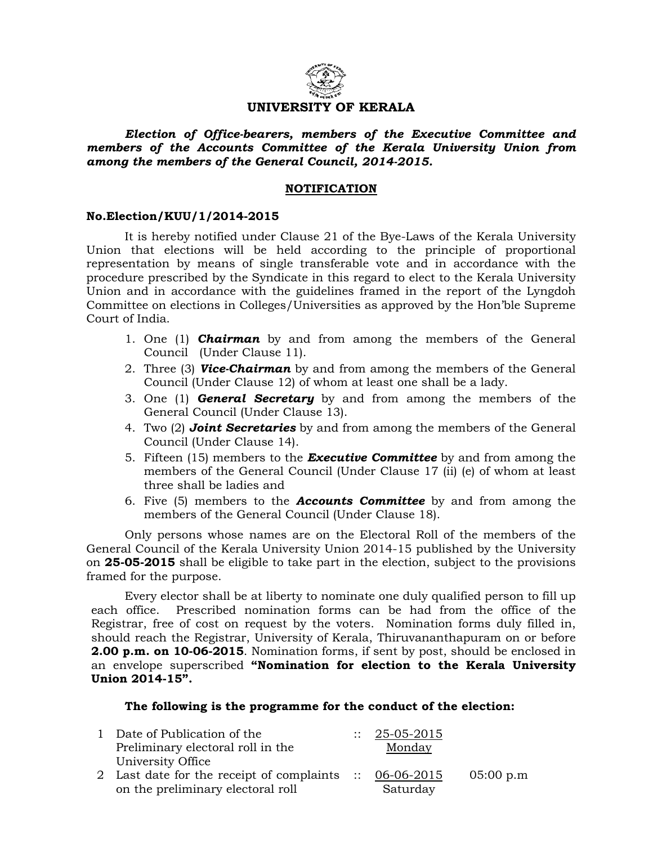

## UNIVERSITY OF KERALA

 Election of Office-bearers, members of the Executive Committee and members of the Accounts Committee of the Kerala University Union from among the members of the General Council, 2014-2015.

### NOTIFICATION

### No.Election/KUU/1/2014-2015

 It is hereby notified under Clause 21 of the Bye-Laws of the Kerala University Union that elections will be held according to the principle of proportional representation by means of single transferable vote and in accordance with the procedure prescribed by the Syndicate in this regard to elect to the Kerala University Union and in accordance with the guidelines framed in the report of the Lyngdoh Committee on elections in Colleges/Universities as approved by the Hon'ble Supreme Court of India.

- 1. One (1) **Chairman** by and from among the members of the General Council (Under Clause 11).
- 2. Three (3) **Vice-Chairman** by and from among the members of the General Council (Under Clause 12) of whom at least one shall be a lady.
- 3. One  $(1)$  **General Secretary** by and from among the members of the General Council (Under Clause 13).
- 4. Two (2) **Joint Secretaries** by and from among the members of the General Council (Under Clause 14).
- 5. Fifteen  $(15)$  members to the **Executive Committee** by and from among the members of the General Council (Under Clause 17 (ii) (e) of whom at least three shall be ladies and
- 6. Five  $(5)$  members to the **Accounts Committee** by and from among the members of the General Council (Under Clause 18).

Only persons whose names are on the Electoral Roll of the members of the General Council of the Kerala University Union 2014-15 published by the University on 25-05-2015 shall be eligible to take part in the election, subject to the provisions framed for the purpose.

 Every elector shall be at liberty to nominate one duly qualified person to fill up each office. Prescribed nomination forms can be had from the office of the Registrar, free of cost on request by the voters. Nomination forms duly filled in, should reach the Registrar, University of Kerala, Thiruvananthapuram on or before **2.00 p.m. on 10-06-2015**. Nomination forms, if sent by post, should be enclosed in an envelope superscribed "Nomination for election to the Kerala University Union 2014-15".

#### The following is the programme for the conduct of the election:

| 1 Date of Publication of the                            | $\therefore$ 25-05-2015 |           |
|---------------------------------------------------------|-------------------------|-----------|
| Preliminary electoral roll in the                       | Monday                  |           |
| University Office                                       |                         |           |
| 2 Last date for the receipt of complaints :: 06-06-2015 |                         | 05:00 p.m |
| on the preliminary electoral roll                       | Saturday                |           |